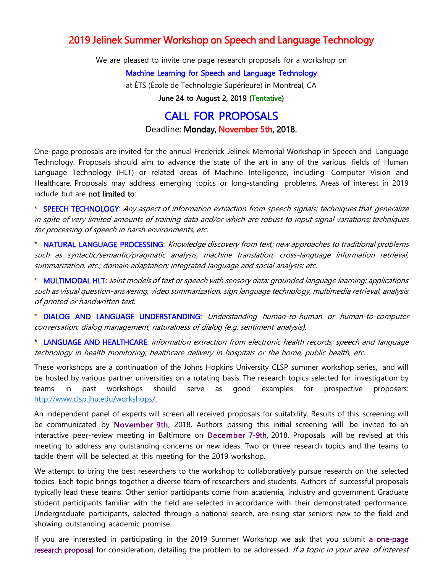## 2019 Jelinek Summer Workshop on Speech and Language Technology

We are pleased to invite one page research proposals for a workshop on

## Machine Learning for Speech and Language Technology

at ÉTS (École de Technologie Supérieure) in Montreal, CA

June 24 to August 2, 2019 (Tentative)

## CALL FOR PROPOSALS

Deadline: Monday, November 5th, 2018.

One-page proposals are invited for the annual Frederick Jelinek Memorial Workshop in Speech and Language Technology. Proposals should aim to advance the state of the art in any of the various fields of Human Language Technology (HLT) or related areas of Machine Intelligence, including Computer Vision and Healthcare. Proposals may address emerging topics or long-standing problems. Areas of interest in 2019 include but are not limited to:

\* SPEECH TECHNOLOGY: Any aspect of information extraction from speech signals; techniques that generalize in spite of very limited amounts of training data and/or which are robust to input signal variations; techniques for processing of speech in harsh environments, etc.

\* NATURAL LANGUAGE PROCESSING: Knowledge discovery from text; new approaches to traditional problems such as syntactic/semantic/pragmatic analysis, machine translation, cross-language information retrieval, summarization, etc.; domain adaptation; integrated language and social analysis; etc.

\* MULTIMODAL HLT: Joint models of text or speech with sensory data; grounded language learning; applications such as visual question-answering, video summarization, sign language technology, multimedia retrieval, analysis of printed or handwritten text.

\* DIALOG AND LANGUAGE UNDERSTANDING: Understanding human-to-human or human-to-computer conversation; dialog management; naturalness of dialog (e.g. sentiment analysis).

\* LANGUAGE AND HEALTHCARE: information extraction from electronic health records; speech and language technology in health monitoring; healthcare delivery in hospitals or the home, public health, etc.

These workshops are a continuation of the Johns Hopkins University CLSP summer workshop series, and will be hosted by various partner universities on a rotating basis. The research topics selected for investigation by teams in past workshops should serve as good examples for prospective proposers: [http://www.clsp.jhu.edu/workshops/.](http://www.clsp.jhu.edu/workshops/)

An independent panel of experts will screen all received proposals for suitability. Results of this screening will be communicated by November 9th, 2018. Authors passing this initial screening will be invited to an interactive peer-review meeting in Baltimore on December 7-9th, 2018. Proposals will be revised at this meeting to address any outstanding concerns or new ideas. Two or three research topics and the teams to tackle them will be selected at this meeting for the 2019 workshop.

We attempt to bring the best researchers to the workshop to collaboratively pursue research on the selected topics. Each topic brings together a diverse team of researchers and students. Authors of successful proposals typically lead these teams. Other senior participants come from academia, industry and government. Graduate student participants familiar with the field are selected in accordance with their demonstrated performance. Undergraduate participants, selected through a national search, are rising star seniors: new to the field and showing outstanding academic promise.

If you are interested in participating in the 2019 Summer Workshop we ask that you submit a one-page research proposal for consideration, detailing the problem to be addressed. If a topic in your area of interest